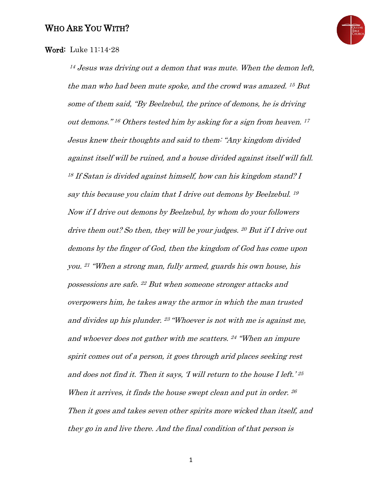

## Word: Luke 11:14-28

 $14$  Jesus was driving out a demon that was mute. When the demon left, the man who had been mute spoke, and the crowd was amazed. <sup>15</sup> But some of them said, "By Beelzebul, the prince of demons, he is driving out demons." <sup>16</sup> Others tested him by asking for a sign from heaven. 17 Jesus knew their thoughts and said to them: "Any kingdom divided against itself will be ruined, and a house divided against itself will fall. <sup>18</sup> If Satan is divided against himself, how can his kingdom stand? I say this because you claim that I drive out demons by Beelzebul. 19 Now if I drive out demons by Beelzebul, by whom do your followers drive them out? So then, they will be your judges. <sup>20</sup> But if I drive out demons by the finger of God, then the kingdom of God has come upon you. <sup>21</sup> "When a strong man, fully armed, guards his own house, his possessions are safe. <sup>22</sup> But when someone stronger attacks and overpowers him, he takes away the armor in which the man trusted and divides up his plunder. <sup>23</sup>"Whoever is not with me is against me, and whoever does not gather with me scatters. <sup>24</sup> "When an impure spirit comes out of a person, it goes through arid places seeking rest and does not find it. Then it says, 'I will return to the house I left.' 25 When it arrives, it finds the house swept clean and put in order. 26 Then it goes and takes seven other spirits more wicked than itself, and they go in and live there. And the final condition of that person is